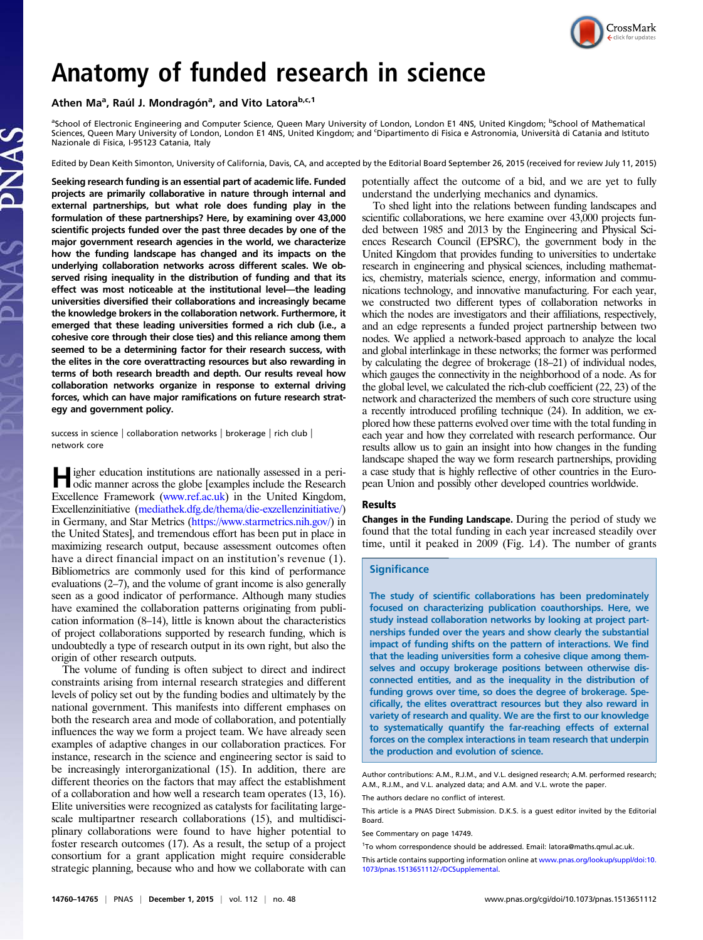

# Anatomy of funded research in science

Athen Ma<sup>a</sup>, Raúl J. Mondragón<sup>a</sup>, and Vito Latora<sup>b,c,1</sup>

<sup>a</sup>School of Electronic Engineering and Computer Science, Queen Mary University of London, London E1 4NS, United Kingdom; <sup>b</sup>School of Mathematical Sciences, Queen Mary University of London, London E1 4NS, United Kingdom; and <sup>c</sup> Dipartimento di Fisica e Astronomia, Università di Catania and Istituto Nazionale di Fisica, I-95123 Catania, Italy

Edited by Dean Keith Simonton, University of California, Davis, CA, and accepted by the Editorial Board September 26, 2015 (received for review July 11, 2015)

Seeking research funding is an essential part of academic life. Funded projects are primarily collaborative in nature through internal and external partnerships, but what role does funding play in the formulation of these partnerships? Here, by examining over 43,000 scientific projects funded over the past three decades by one of the major government research agencies in the world, we characterize how the funding landscape has changed and its impacts on the underlying collaboration networks across different scales. We observed rising inequality in the distribution of funding and that its effect was most noticeable at the institutional level—the leading universities diversified their collaborations and increasingly became the knowledge brokers in the collaboration network. Furthermore, it emerged that these leading universities formed a rich club (i.e., a cohesive core through their close ties) and this reliance among them seemed to be a determining factor for their research success, with the elites in the core overattracting resources but also rewarding in terms of both research breadth and depth. Our results reveal how collaboration networks organize in response to external driving forces, which can have major ramifications on future research strategy and government policy.

success in science | collaboration networks | brokerage | rich club | network core

Higher education institutions are nationally assessed in a peri-<br>odic manner across the globe [examples include the Research Excellence Framework [\(www.ref.ac.uk](http://www.ref.ac.uk/)) in the United Kingdom, Excellenzinitiative [\(mediathek.dfg.de/thema/die-exzellenzinitiative/\)](http://mediathek.dfg.de/thema/die-exzellenzinitiative/) in Germany, and Star Metrics [\(https://www.starmetrics.nih.gov/\)](https://www.starmetrics.nih.gov/) in the United States], and tremendous effort has been put in place in maximizing research output, because assessment outcomes often have a direct financial impact on an institution's revenue (1). Bibliometrics are commonly used for this kind of performance evaluations (2–7), and the volume of grant income is also generally seen as a good indicator of performance. Although many studies have examined the collaboration patterns originating from publication information (8–14), little is known about the characteristics of project collaborations supported by research funding, which is undoubtedly a type of research output in its own right, but also the origin of other research outputs.

The volume of funding is often subject to direct and indirect constraints arising from internal research strategies and different levels of policy set out by the funding bodies and ultimately by the national government. This manifests into different emphases on both the research area and mode of collaboration, and potentially influences the way we form a project team. We have already seen examples of adaptive changes in our collaboration practices. For instance, research in the science and engineering sector is said to be increasingly interorganizational (15). In addition, there are different theories on the factors that may affect the establishment of a collaboration and how well a research team operates (13, 16). Elite universities were recognized as catalysts for facilitating largescale multipartner research collaborations (15), and multidisciplinary collaborations were found to have higher potential to foster research outcomes (17). As a result, the setup of a project consortium for a grant application might require considerable strategic planning, because who and how we collaborate with can potentially affect the outcome of a bid, and we are yet to fully understand the underlying mechanics and dynamics.

To shed light into the relations between funding landscapes and scientific collaborations, we here examine over 43,000 projects funded between 1985 and 2013 by the Engineering and Physical Sciences Research Council (EPSRC), the government body in the United Kingdom that provides funding to universities to undertake research in engineering and physical sciences, including mathematics, chemistry, materials science, energy, information and communications technology, and innovative manufacturing. For each year, we constructed two different types of collaboration networks in which the nodes are investigators and their affiliations, respectively, and an edge represents a funded project partnership between two nodes. We applied a network-based approach to analyze the local and global interlinkage in these networks; the former was performed by calculating the degree of brokerage (18–21) of individual nodes, which gauges the connectivity in the neighborhood of a node. As for the global level, we calculated the rich-club coefficient (22, 23) of the network and characterized the members of such core structure using a recently introduced profiling technique (24). In addition, we explored how these patterns evolved over time with the total funding in each year and how they correlated with research performance. Our results allow us to gain an insight into how changes in the funding landscape shaped the way we form research partnerships, providing a case study that is highly reflective of other countries in the European Union and possibly other developed countries worldwide.

## Results

Changes in the Funding Landscape. During the period of study we found that the total funding in each year increased steadily over time, until it peaked in 2009 (Fig. 1A). The number of grants

### **Significance**

The study of scientific collaborations has been predominately focused on characterizing publication coauthorships. Here, we study instead collaboration networks by looking at project partnerships funded over the years and show clearly the substantial impact of funding shifts on the pattern of interactions. We find that the leading universities form a cohesive clique among themselves and occupy brokerage positions between otherwise disconnected entities, and as the inequality in the distribution of funding grows over time, so does the degree of brokerage. Specifically, the elites overattract resources but they also reward in variety of research and quality. We are the first to our knowledge to systematically quantify the far-reaching effects of external forces on the complex interactions in team research that underpin the production and evolution of science.

Author contributions: A.M., R.J.M., and V.L. designed research; A.M. performed research; A.M., R.J.M., and V.L. analyzed data; and A.M. and V.L. wrote the paper.

The authors declare no conflict of interest.

This article is a PNAS Direct Submission. D.K.S. is a guest editor invited by the Editorial Board.

See Commentary on page 14749.

<sup>1</sup>To whom correspondence should be addressed. Email: [latora@maths.qmul.ac.uk](mailto:latora@maths.qmul.ac.uk).

This article contains supporting information online at [www.pnas.org/lookup/suppl/doi:10.](http://www.pnas.org/lookup/suppl/doi:10.1073/pnas.1513651112/-/DCSupplemental) [1073/pnas.1513651112/-/DCSupplemental.](http://www.pnas.org/lookup/suppl/doi:10.1073/pnas.1513651112/-/DCSupplemental)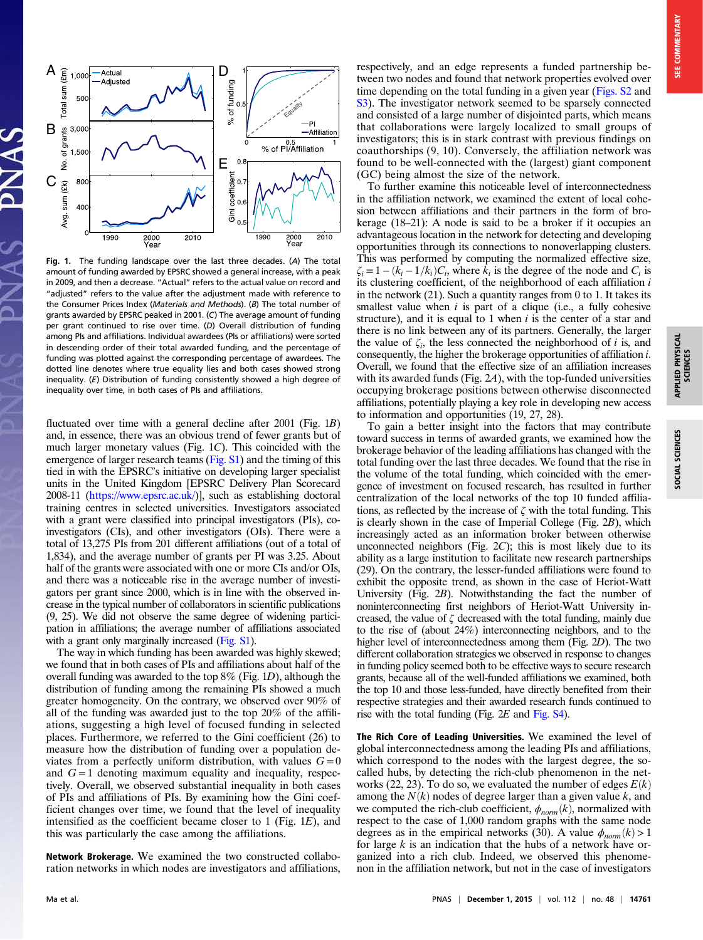APPLIED PHYSICAL SCIENCES

SOCIAL SCIENCES

APPLIED PHYSICAL<br>SCIENCES



Fig. 1. The funding landscape over the last three decades. (A) The total amount of funding awarded by EPSRC showed a general increase, with a peak in 2009, and then a decrease. "Actual" refers to the actual value on record and "adjusted" refers to the value after the adjustment made with reference to the Consumer Prices Index (Materials and Methods). (B) The total number of grants awarded by EPSRC peaked in 2001. (C) The average amount of funding per grant continued to rise over time. (D) Overall distribution of funding among PIs and affiliations. Individual awardees (PIs or affiliations) were sorted in descending order of their total awarded funding, and the percentage of funding was plotted against the corresponding percentage of awardees. The dotted line denotes where true equality lies and both cases showed strong inequality. (E) Distribution of funding consistently showed a high degree of inequality over time, in both cases of PIs and affiliations.

fluctuated over time with a general decline after 2001 (Fig. 1B) and, in essence, there was an obvious trend of fewer grants but of much larger monetary values (Fig. 1C). This coincided with the emergence of larger research teams [\(Fig. S1\)](http://www.pnas.org/lookup/suppl/doi:10.1073/pnas.1513651112/-/DCSupplemental/pnas.201513651SI.pdf?targetid=nameddest=SF1) and the timing of this tied in with the EPSRC's initiative on developing larger specialist units in the United Kingdom [EPSRC Delivery Plan Scorecard 2008-11 [\(https://www.epsrc.ac.uk/](https://www.epsrc.ac.uk/))], such as establishing doctoral training centres in selected universities. Investigators associated with a grant were classified into principal investigators (PIs), coinvestigators (CIs), and other investigators (OIs). There were a total of 13,275 PIs from 201 different affiliations (out of a total of 1,834), and the average number of grants per PI was 3.25. About half of the grants were associated with one or more CIs and/or OIs, and there was a noticeable rise in the average number of investigators per grant since 2000, which is in line with the observed increase in the typical number of collaborators in scientific publications (9, 25). We did not observe the same degree of widening participation in affiliations; the average number of affiliations associated with a grant only marginally increased [\(Fig. S1](http://www.pnas.org/lookup/suppl/doi:10.1073/pnas.1513651112/-/DCSupplemental/pnas.201513651SI.pdf?targetid=nameddest=SF1)).

The way in which funding has been awarded was highly skewed; we found that in both cases of PIs and affiliations about half of the overall funding was awarded to the top  $8\%$  (Fig. 1D), although the distribution of funding among the remaining PIs showed a much greater homogeneity. On the contrary, we observed over 90% of all of the funding was awarded just to the top 20% of the affiliations, suggesting a high level of focused funding in selected places. Furthermore, we referred to the Gini coefficient (26) to measure how the distribution of funding over a population deviates from a perfectly uniform distribution, with values  $G = 0$ and  $G = 1$  denoting maximum equality and inequality, respectively. Overall, we observed substantial inequality in both cases of PIs and affiliations of PIs. By examining how the Gini coefficient changes over time, we found that the level of inequality intensified as the coefficient became closer to 1 (Fig.  $1E$ ), and this was particularly the case among the affiliations.

Network Brokerage. We examined the two constructed collaboration networks in which nodes are investigators and affiliations,

respectively, and an edge represents a funded partnership between two nodes and found that network properties evolved over time depending on the total funding in a given year [\(Figs. S2](http://www.pnas.org/lookup/suppl/doi:10.1073/pnas.1513651112/-/DCSupplemental/pnas.201513651SI.pdf?targetid=nameddest=SF2) and [S3](http://www.pnas.org/lookup/suppl/doi:10.1073/pnas.1513651112/-/DCSupplemental/pnas.201513651SI.pdf?targetid=nameddest=SF3)). The investigator network seemed to be sparsely connected and consisted of a large number of disjointed parts, which means that collaborations were largely localized to small groups of investigators; this is in stark contrast with previous findings on coauthorships (9, 10). Conversely, the affiliation network was found to be well-connected with the (largest) giant component (GC) being almost the size of the network.

To further examine this noticeable level of interconnectedness in the affiliation network, we examined the extent of local cohesion between affiliations and their partners in the form of brokerage (18–21): A node is said to be a broker if it occupies an advantageous location in the network for detecting and developing opportunities through its connections to nonoverlapping clusters. This was performed by computing the normalized effective size,  $\zeta_i = 1 - (k_i - 1/k_i)C_i$ , where  $k_i$  is the degree of the node and  $C_i$  is its clustering coefficient, of the neighborhood of each affiliation  $i$ in the network (21). Such a quantity ranges from 0 to 1. It takes its smallest value when  $i$  is part of a clique (i.e., a fully cohesive structure), and it is equal to 1 when  $i$  is the center of a star and there is no link between any of its partners. Generally, the larger the value of  $\zeta_i$ , the less connected the neighborhood of *i* is, and consequently, the higher the brokerage opportunities of affiliation i. Overall, we found that the effective size of an affiliation increases with its awarded funds (Fig. 2A), with the top-funded universities occupying brokerage positions between otherwise disconnected affiliations, potentially playing a key role in developing new access to information and opportunities (19, 27, 28).

To gain a better insight into the factors that may contribute toward success in terms of awarded grants, we examined how the brokerage behavior of the leading affiliations has changed with the total funding over the last three decades. We found that the rise in the volume of the total funding, which coincided with the emergence of investment on focused research, has resulted in further centralization of the local networks of the top 10 funded affiliations, as reflected by the increase of  $\zeta$  with the total funding. This is clearly shown in the case of Imperial College (Fig. 2B), which increasingly acted as an information broker between otherwise unconnected neighbors (Fig.  $2C$ ); this is most likely due to its ability as a large institution to facilitate new research partnerships (29). On the contrary, the lesser-funded affiliations were found to exhibit the opposite trend, as shown in the case of Heriot-Watt University (Fig. 2B). Notwithstanding the fact the number of noninterconnecting first neighbors of Heriot-Watt University increased, the value of  $\zeta$  decreased with the total funding, mainly due to the rise of (about 24%) interconnecting neighbors, and to the higher level of interconnectedness among them (Fig. 2D). The two different collaboration strategies we observed in response to changes in funding policy seemed both to be effective ways to secure research grants, because all of the well-funded affiliations we examined, both the top 10 and those less-funded, have directly benefited from their respective strategies and their awarded research funds continued to rise with the total funding (Fig. 2E and [Fig. S4](http://www.pnas.org/lookup/suppl/doi:10.1073/pnas.1513651112/-/DCSupplemental/pnas.201513651SI.pdf?targetid=nameddest=SF4)).

The Rich Core of Leading Universities. We examined the level of global interconnectedness among the leading PIs and affiliations, which correspond to the nodes with the largest degree, the socalled hubs, by detecting the rich-club phenomenon in the networks (22, 23). To do so, we evaluated the number of edges  $E(k)$ among the  $N(k)$  nodes of degree larger than a given value k, and we computed the rich-club coefficient,  $\phi_{norm}(k)$ , normalized with respect to the case of 1,000 random graphs with the same node degrees as in the empirical networks (30). A value  $\phi_{norm}(k) > 1$ for large  $k$  is an indication that the hubs of a network have organized into a rich club. Indeed, we observed this phenomenon in the affiliation network, but not in the case of investigators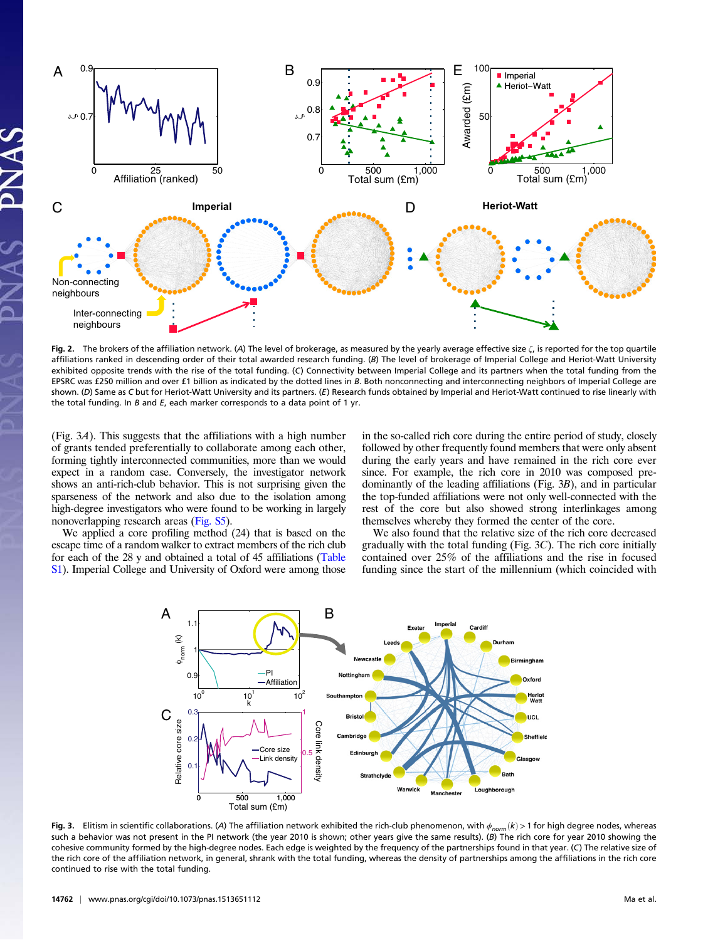

Fig. 2. The brokers of the affiliation network. (A) The level of brokerage, as measured by the yearly average effective size  $\zeta$ , is reported for the top quartile affiliations ranked in descending order of their total awarded research funding. (B) The level of brokerage of Imperial College and Heriot-Watt University exhibited opposite trends with the rise of the total funding. (C) Connectivity between Imperial College and its partners when the total funding from the EPSRC was £250 million and over £1 billion as indicated by the dotted lines in B. Both nonconnecting and interconnecting neighbors of Imperial College are shown. (D) Same as C but for Heriot-Watt University and its partners. (E) Research funds obtained by Imperial and Heriot-Watt continued to rise linearly with the total funding. In  $B$  and  $E$ , each marker corresponds to a data point of 1 yr.

(Fig. 3A). This suggests that the affiliations with a high number of grants tended preferentially to collaborate among each other, forming tightly interconnected communities, more than we would expect in a random case. Conversely, the investigator network shows an anti-rich-club behavior. This is not surprising given the sparseness of the network and also due to the isolation among high-degree investigators who were found to be working in largely nonoverlapping research areas [\(Fig. S5\)](http://www.pnas.org/lookup/suppl/doi:10.1073/pnas.1513651112/-/DCSupplemental/pnas.201513651SI.pdf?targetid=nameddest=SF5).

We applied a core profiling method (24) that is based on the escape time of a random walker to extract members of the rich club for each of the 28 y and obtained a total of 45 affiliations ([Table](http://www.pnas.org/lookup/suppl/doi:10.1073/pnas.1513651112/-/DCSupplemental/pnas.201513651SI.pdf?targetid=nameddest=ST1) [S1\)](http://www.pnas.org/lookup/suppl/doi:10.1073/pnas.1513651112/-/DCSupplemental/pnas.201513651SI.pdf?targetid=nameddest=ST1). Imperial College and University of Oxford were among those in the so-called rich core during the entire period of study, closely followed by other frequently found members that were only absent during the early years and have remained in the rich core ever since. For example, the rich core in 2010 was composed predominantly of the leading affiliations (Fig. 3B), and in particular the top-funded affiliations were not only well-connected with the rest of the core but also showed strong interlinkages among themselves whereby they formed the center of the core.

We also found that the relative size of the rich core decreased gradually with the total funding (Fig.  $3C$ ). The rich core initially contained over 25% of the affiliations and the rise in focused funding since the start of the millennium (which coincided with



Fig. 3. Elitism in scientific collaborations. (A) The affiliation network exhibited the rich-club phenomenon, with  $\phi_{\text{norm}}(k)$  > 1 for high degree nodes, whereas such a behavior was not present in the PI network (the year 2010 is shown; other years give the same results). (B) The rich core for year 2010 showing the cohesive community formed by the high-degree nodes. Each edge is weighted by the frequency of the partnerships found in that year. (C) The relative size of the rich core of the affiliation network, in general, shrank with the total funding, whereas the density of partnerships among the affiliations in the rich core continued to rise with the total funding.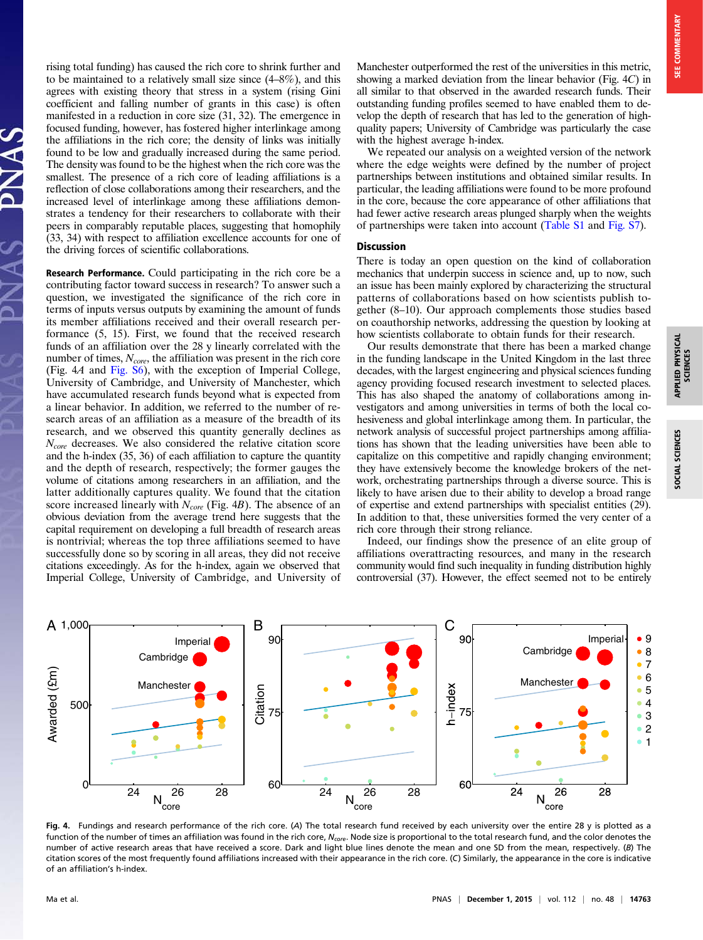rising total funding) has caused the rich core to shrink further and to be maintained to a relatively small size since (4–8%), and this agrees with existing theory that stress in a system (rising Gini coefficient and falling number of grants in this case) is often manifested in a reduction in core size (31, 32). The emergence in focused funding, however, has fostered higher interlinkage among the affiliations in the rich core; the density of links was initially found to be low and gradually increased during the same period. The density was found to be the highest when the rich core was the smallest. The presence of a rich core of leading affiliations is a reflection of close collaborations among their researchers, and the increased level of interlinkage among these affiliations demonstrates a tendency for their researchers to collaborate with their peers in comparably reputable places, suggesting that homophily (33, 34) with respect to affiliation excellence accounts for one of the driving forces of scientific collaborations.

Research Performance. Could participating in the rich core be a contributing factor toward success in research? To answer such a question, we investigated the significance of the rich core in terms of inputs versus outputs by examining the amount of funds its member affiliations received and their overall research performance (5, 15). First, we found that the received research funds of an affiliation over the 28 y linearly correlated with the number of times,  $N_{core}$ , the affiliation was present in the rich core (Fig. 4A and [Fig. S6](http://www.pnas.org/lookup/suppl/doi:10.1073/pnas.1513651112/-/DCSupplemental/pnas.201513651SI.pdf?targetid=nameddest=SF6)), with the exception of Imperial College, University of Cambridge, and University of Manchester, which have accumulated research funds beyond what is expected from a linear behavior. In addition, we referred to the number of research areas of an affiliation as a measure of the breadth of its research, and we observed this quantity generally declines as  $N_{core}$  decreases. We also considered the relative citation score and the h-index (35, 36) of each affiliation to capture the quantity and the depth of research, respectively; the former gauges the volume of citations among researchers in an affiliation, and the latter additionally captures quality. We found that the citation score increased linearly with  $N_{core}$  (Fig. 4B). The absence of an obvious deviation from the average trend here suggests that the capital requirement on developing a full breadth of research areas is nontrivial; whereas the top three affiliations seemed to have successfully done so by scoring in all areas, they did not receive citations exceedingly. As for the h-index, again we observed that Imperial College, University of Cambridge, and University of Manchester outperformed the rest of the universities in this metric, showing a marked deviation from the linear behavior (Fig. 4C) in all similar to that observed in the awarded research funds. Their outstanding funding profiles seemed to have enabled them to develop the depth of research that has led to the generation of highquality papers; University of Cambridge was particularly the case with the highest average h-index.

We repeated our analysis on a weighted version of the network where the edge weights were defined by the number of project partnerships between institutions and obtained similar results. In particular, the leading affiliations were found to be more profound in the core, because the core appearance of other affiliations that had fewer active research areas plunged sharply when the weights of partnerships were taken into account [\(Table S1](http://www.pnas.org/lookup/suppl/doi:10.1073/pnas.1513651112/-/DCSupplemental/pnas.201513651SI.pdf?targetid=nameddest=ST1) and [Fig. S7](http://www.pnas.org/lookup/suppl/doi:10.1073/pnas.1513651112/-/DCSupplemental/pnas.201513651SI.pdf?targetid=nameddest=SF7)).

#### Discussion

There is today an open question on the kind of collaboration mechanics that underpin success in science and, up to now, such an issue has been mainly explored by characterizing the structural patterns of collaborations based on how scientists publish together (8–10). Our approach complements those studies based on coauthorship networks, addressing the question by looking at how scientists collaborate to obtain funds for their research.

Our results demonstrate that there has been a marked change in the funding landscape in the United Kingdom in the last three decades, with the largest engineering and physical sciences funding agency providing focused research investment to selected places. This has also shaped the anatomy of collaborations among investigators and among universities in terms of both the local cohesiveness and global interlinkage among them. In particular, the network analysis of successful project partnerships among affiliations has shown that the leading universities have been able to capitalize on this competitive and rapidly changing environment; they have extensively become the knowledge brokers of the network, orchestrating partnerships through a diverse source. This is likely to have arisen due to their ability to develop a broad range of expertise and extend partnerships with specialist entities (29). In addition to that, these universities formed the very center of a rich core through their strong reliance.

Indeed, our findings show the presence of an elite group of affiliations overattracting resources, and many in the research community would find such inequality in funding distribution highly controversial (37). However, the effect seemed not to be entirely



Fig. 4. Fundings and research performance of the rich core. (A) The total research fund received by each university over the entire 28 y is plotted as a function of the number of times an affiliation was found in the rich core, N<sub>core</sub>. Node size is proportional to the total research fund, and the color denotes the number of active research areas that have received a score. Dark and light blue lines denote the mean and one SD from the mean, respectively. (B) The citation scores of the most frequently found affiliations increased with their appearance in the rich core. (C) Similarly, the appearance in the core is indicative of an affiliation's h-index.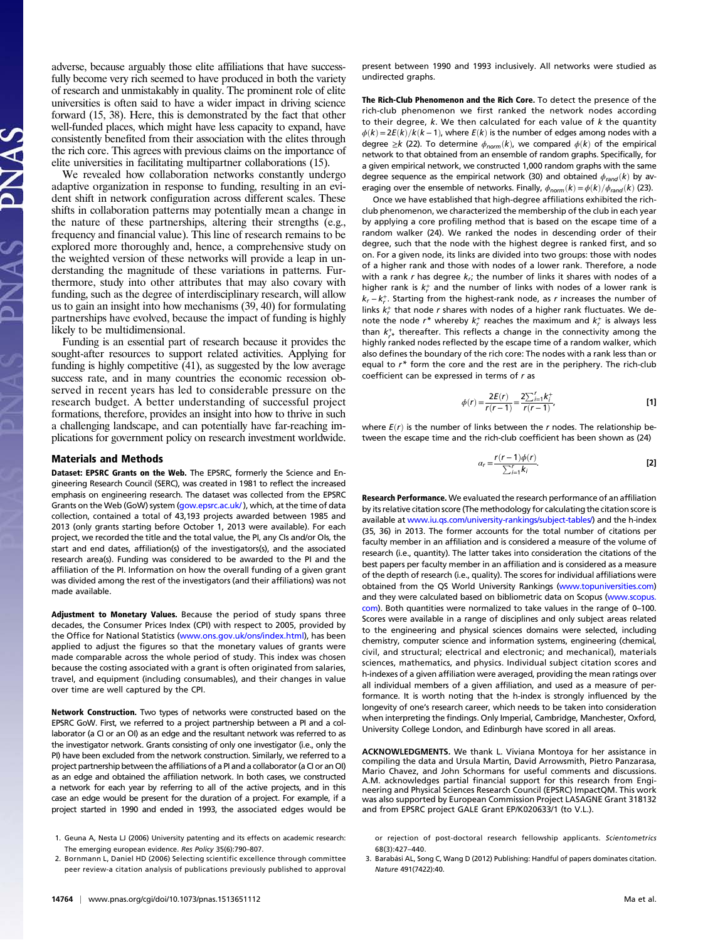adverse, because arguably those elite affiliations that have successfully become very rich seemed to have produced in both the variety of research and unmistakably in quality. The prominent role of elite universities is often said to have a wider impact in driving science forward (15, 38). Here, this is demonstrated by the fact that other well-funded places, which might have less capacity to expand, have consistently benefited from their association with the elites through the rich core. This agrees with previous claims on the importance of elite universities in facilitating multipartner collaborations (15).

We revealed how collaboration networks constantly undergo adaptive organization in response to funding, resulting in an evident shift in network configuration across different scales. These shifts in collaboration patterns may potentially mean a change in the nature of these partnerships, altering their strengths (e.g., frequency and financial value). This line of research remains to be explored more thoroughly and, hence, a comprehensive study on the weighted version of these networks will provide a leap in understanding the magnitude of these variations in patterns. Furthermore, study into other attributes that may also covary with funding, such as the degree of interdisciplinary research, will allow us to gain an insight into how mechanisms (39, 40) for formulating partnerships have evolved, because the impact of funding is highly likely to be multidimensional.

Funding is an essential part of research because it provides the sought-after resources to support related activities. Applying for funding is highly competitive (41), as suggested by the low average success rate, and in many countries the economic recession observed in recent years has led to considerable pressure on the research budget. A better understanding of successful project formations, therefore, provides an insight into how to thrive in such a challenging landscape, and can potentially have far-reaching implications for government policy on research investment worldwide.

#### Materials and Methods

Dataset: EPSRC Grants on the Web. The EPSRC, formerly the Science and Engineering Research Council (SERC), was created in 1981 to reflect the increased emphasis on engineering research. The dataset was collected from the EPSRC Grants on the Web (GoW) system [\(gow.epsrc.ac.uk/](http://gow.epsrc.ac.uk/) ), which, at the time of data collection, contained a total of 43,193 projects awarded between 1985 and 2013 (only grants starting before October 1, 2013 were available). For each project, we recorded the title and the total value, the PI, any CIs and/or OIs, the start and end dates, affiliation(s) of the investigators(s), and the associated research area(s). Funding was considered to be awarded to the PI and the affiliation of the PI. Information on how the overall funding of a given grant was divided among the rest of the investigators (and their affiliations) was not made available.

Adjustment to Monetary Values. Because the period of study spans three decades, the Consumer Prices Index (CPI) with respect to 2005, provided by the Office for National Statistics ([www.ons.gov.uk/ons/index.html](http://www.ons.gov.uk/ons/index.html)), has been applied to adjust the figures so that the monetary values of grants were made comparable across the whole period of study. This index was chosen because the costing associated with a grant is often originated from salaries, travel, and equipment (including consumables), and their changes in value over time are well captured by the CPI.

Network Construction. Two types of networks were constructed based on the EPSRC GoW. First, we referred to a project partnership between a PI and a collaborator (a CI or an OI) as an edge and the resultant network was referred to as the investigator network. Grants consisting of only one investigator (i.e., only the PI) have been excluded from the network construction. Similarly, we referred to a project partnership between the affiliations of a PI and a collaborator (a CI or an OI) as an edge and obtained the affiliation network. In both cases, we constructed a network for each year by referring to all of the active projects, and in this case an edge would be present for the duration of a project. For example, if a project started in 1990 and ended in 1993, the associated edges would be

- 1. Geuna A, Nesta LJ (2006) University patenting and its effects on academic research: The emerging european evidence. Res Policy 35(6):790–807.
- 2. Bornmann L, Daniel HD (2006) Selecting scientific excellence through committee peer review-a citation analysis of publications previously published to approval

present between 1990 and 1993 inclusively. All networks were studied as undirected graphs.

The Rich-Club Phenomenon and the Rich Core. To detect the presence of the rich-club phenomenon we first ranked the network nodes according to their degree,  $k$ . We then calculated for each value of  $k$  the quantity  $\phi(k) = 2E(k)/k(k-1)$ , where  $E(k)$  is the number of edges among nodes with a degree  $\geq k$  (22). To determine  $\phi_{norm}(k)$ , we compared  $\phi(k)$  of the empirical network to that obtained from an ensemble of random graphs. Specifically, for a given empirical network, we constructed 1,000 random graphs with the same degree sequence as the empirical network (30) and obtained  $\phi_{rand}(k)$  by averaging over the ensemble of networks. Finally,  $\phi_{norm}(k) = \phi(k)/\phi_{rand}(k)$  (23).

Once we have established that high-degree affiliations exhibited the richclub phenomenon, we characterized the membership of the club in each year by applying a core profiling method that is based on the escape time of a random walker (24). We ranked the nodes in descending order of their degree, such that the node with the highest degree is ranked first, and so on. For a given node, its links are divided into two groups: those with nodes of a higher rank and those with nodes of a lower rank. Therefore, a node with a rank r has degree  $k<sub>r</sub>$ ; the number of links it shares with nodes of a higher rank is  $k<sub>r</sub><sup>+</sup>$  and the number of links with nodes of a lower rank is  $k_r - k_r^+$ . Starting from the highest-rank node, as r increases the number of links  $k_r^+$  that node r shares with nodes of a higher rank fluctuates. We denote the node  $r^*$  whereby  $k_r^+$  reaches the maximum and  $k_r^+$  is always less than  $k_{r^*}^+$  thereafter. This reflects a change in the connectivity among the highly ranked nodes reflected by the escape time of a random walker, which also defines the boundary of the rich core: The nodes with a rank less than or equal to  $r^*$  form the core and the rest are in the periphery. The rich-club coefficient can be expressed in terms of  $r$  as

$$
\phi(r) = \frac{2E(r)}{r(r-1)} = \frac{2\sum_{i=1}^{r} k_i^+}{r(r-1)},
$$
 [1]

where  $E(r)$  is the number of links between the r nodes. The relationship between the escape time and the rich-club coefficient has been shown as (24)

$$
\alpha_r = \frac{r(r-1)\phi(r)}{\sum_{i=1}^r k_i}.
$$
 [2]

Research Performance. We evaluated the research performance of an affiliation by its relative citation score (The methodology for calculating the citation score is available at [www.iu.qs.com/university-rankings/subject-tables/\)](http://www.iu.qs.com/university-rankings/subject-tables/) and the h-index (35, 36) in 2013. The former accounts for the total number of citations per faculty member in an affiliation and is considered a measure of the volume of research (i.e., quantity). The latter takes into consideration the citations of the best papers per faculty member in an affiliation and is considered as a measure of the depth of research (i.e., quality). The scores for individual affiliations were obtained from the QS World University Rankings [\(www.topuniversities.com](http://www.topuniversities.com/)) and they were calculated based on bibliometric data on Scopus ([www.scopus.](http://www.scopus.com/) [com](http://www.scopus.com/)). Both quantities were normalized to take values in the range of 0–100. Scores were available in a range of disciplines and only subject areas related to the engineering and physical sciences domains were selected, including chemistry, computer science and information systems, engineering (chemical, civil, and structural; electrical and electronic; and mechanical), materials sciences, mathematics, and physics. Individual subject citation scores and h-indexes of a given affiliation were averaged, providing the mean ratings over all individual members of a given affiliation, and used as a measure of performance. It is worth noting that the h-index is strongly influenced by the longevity of one's research career, which needs to be taken into consideration when interpreting the findings. Only Imperial, Cambridge, Manchester, Oxford, University College London, and Edinburgh have scored in all areas.

ACKNOWLEDGMENTS. We thank L. Viviana Montoya for her assistance in compiling the data and Ursula Martin, David Arrowsmith, Pietro Panzarasa, Mario Chavez, and John Schormans for useful comments and discussions. A.M. acknowledges partial financial support for this research from Engineering and Physical Sciences Research Council (EPSRC) ImpactQM. This work was also supported by European Commission Project LASAGNE Grant 318132 and from EPSRC project GALE Grant EP/K020633/1 (to V.L.).

3. Barabási AL, Song C, Wang D (2012) Publishing: Handful of papers dominates citation. Nature 491(7422):40.

or rejection of post-doctoral research fellowship applicants. Scientometrics 68(3):427–440.